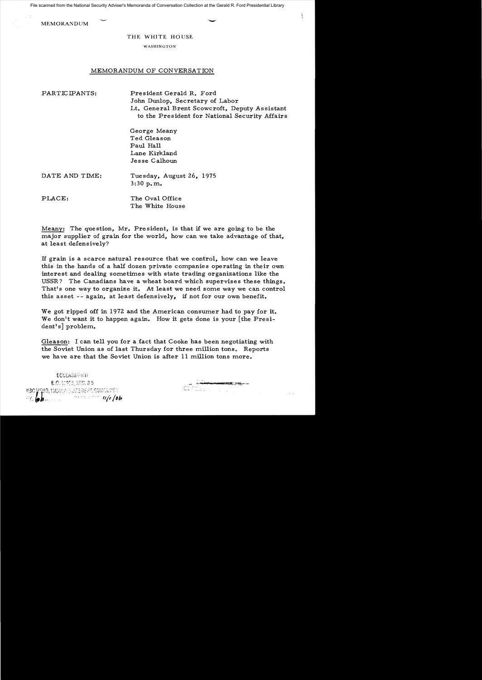File scanned from the National Security Adviser's Memoranda of Conversation Collection at the Gerald R. Ford Presidential Library

MEMORANDUM COMPANY

THE WHITE HOUSE

WASHINGTON

## MEMORANDUM OF CONVERSATION

PARTICIPANTS: President Gerald R. Ford John Dunlop, Secretary of Labor Lt. General Brent Scowcroft, Deputy Assistant to the President for National Security Affairs

> George Meany Ted Gleason Paul Hall Lane Kirkland Jesse Calhoun

| DATE AND TIME: | Tuesday, August 26, 1975<br>3:30 p.m. |
|----------------|---------------------------------------|
| PLACE:         | The Oval Office                       |

Meany: The question, Mr. President, is that if we are going to be the major supplier of grain for the world, how can we take advantage of that, at least defensively?

The White House

If grain is a scarce natural resource that we control, how can we leave this in the hands of a half dozen private companies operating in their own interest and dealing sometimes with state trading organizations like the USSR? The Canadians have a wheat board which supervises these things. That's one way to organize it. At least we need some way we can control this asset -- again, at least defensively, if not for our own benefit.

We got ripped off in 1972 and the American consumer had to pay for it. We don't want it to happen again. How it gets done is your [the President's] problem.

Gleason: I can tell you for a fact that Cooke has been negotiating with the Soviet Union as of last Thursday for three million tons. Reports we have are that the Soviet Union is after 11 million tons more.

DECLASSIFIED E.O. 12950, SEG. 8.5 SMO, 11MADE, STATE DEFIL GUIDILLUEG  $\frac{1}{2}$  ,  $\frac{1}{2}$  ,  $\frac{1}{2}$  ,  $\frac{1}{2}$  ,  $\frac{1}{2}$  ,  $\frac{1}{2}$  ,  $\frac{1}{2}$  ,  $\frac{1}{2}$  ,  $\frac{1}{2}$  ,  $\frac{1}{2}$  ,  $\frac{1}{2}$  ,  $\frac{1}{2}$  ,  $\frac{1}{2}$  ,  $\frac{1}{2}$  ,  $\frac{1}{2}$  ,  $\frac{1}{2}$  ,  $\frac{1}{2}$  ,  $\frac{1}{2}$  ,  $\frac{1$ 

\_\_\_ ,j **............!!"** F~~-\_

 $\frac{1}{2}$  ,  $\frac{1}{2}$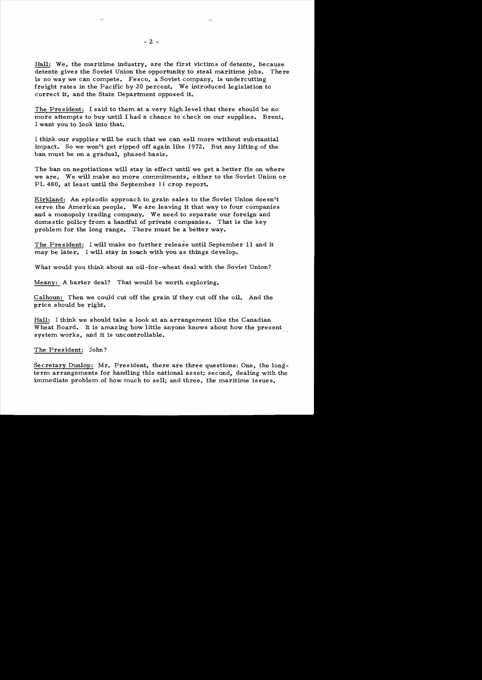Hall: We, the maritime industry, are the first victims of detente, because detente gives the Soviet Union the opportunity to steal maritime jobs. There is no way we can compete. Fesco, a Soviet company, is undercutting freight rates in the Pacific by 20 percent. We introduced legislation to correct it, and the State Department opposed it.

The President: I said to them at a very high level that there should be no more attempts to buy until I had a chance to check on our supplies. Brent, I want you to look into that.

I think our supplies will be such that we can sell more without substantial impact. So we won't get ripped off again like 1972. But any lifting of the ban must be on a gradual, phased basis.

The ban on negotiations will stay in effect until we get a better fix on where we are. We will make no more commitments, either to the Soviet Union or PL 480, at least until the September 11 crop report.

Kirkland: An episodic approach to grain sales to the Soviet Union doesn't serve the American people. We are leaving it that way to four companies and a monopoly trading company. We need to separate our foreign and domestic policy from a handful of private companies. That is the key problem for the long range. There must be a better way.

The President: I will make no further release until September 11 and it may be later. I will stay in touch with you as things develop.

What would you think about an oil-for-wheat deal with the Soviet Union?

Meany: A barter deal? That would be worth exploring.

Calhoun: Then we could cut off the grain if they cut off the oil. And the price should be right.

Hall: I think we should take a look at an arrangement like the Canadian Wheat Board. It is amazing how little anyone knows about how the present system works, and it is uncontrollable.

## The President: John?

Secretary Dunlop: Mr. President, there are three questions: One, the longterm arrangements for handling this national asset; second, dealing with the immediate problem of how much to sell; and three, the maritime issues.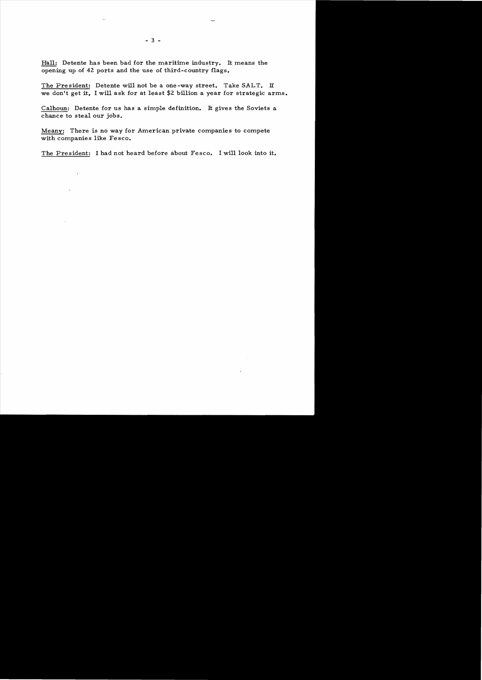Hall: Detente has been bad for the maritime industry. It means the opening up of 42 ports and the use of third-country flags.

The President: Detente will not be a one-way street. Take SALT. H we don't get it, I will ask for at least \$2 billion a year for strategic arms.

Calhoun: Detente for us has a simple definition. It gives the Soviets a chance to steal our jobs.

Meany: There is no way for American private companies to compete with companies like Fesco.

The President: I had not heard before about Fesco. I will look into it.

 $\sum_{j=1}^n \lambda_j$ 

š.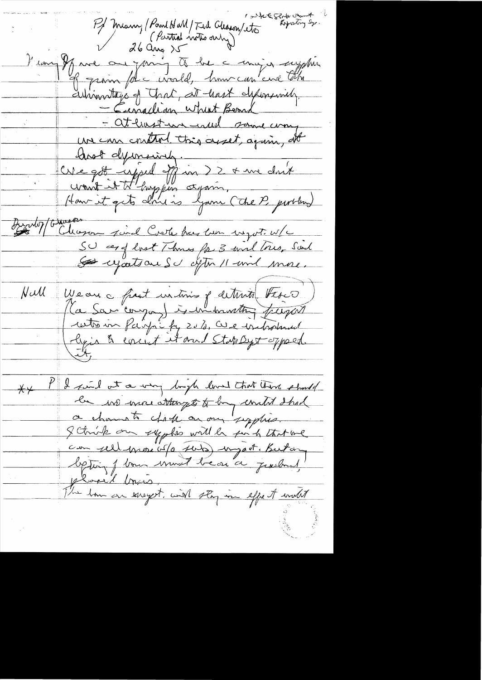white sends on the Pf Meany (Point NaM/Twd Cleason/ets) Vian Je me ou joing to be a migor supplier autiventage of That, at hast defensively. - attention with some way un en control très asset, again, et CNe got enjoyed off in 22 + me don't Fundo) (Secretas SU ces of lost Thomas for 3 incl true, Said<br>Se regation SU aptin 11 invil more. We are a fast intime of determine there ) Hall P I find at a way look loved that there should  $\overline{\mathsf{X}}\mathsf{Y}$ la vie mai attempt to by united shad a channel chick on my supplies. Schrijk om syglis will be sich trit me phoel brus. The town on energest, with stay in effect with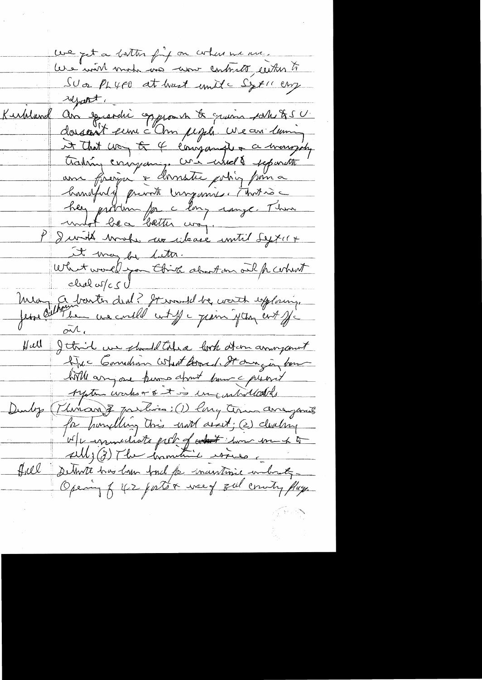we get a bottom fing on when we me. Les inon mada ma come contrato, certas to Sua PLYFO at hast unite Syricany report.<br>Kubland an speerdie opprovent & quinn pollette !! doissant en c'hon pigels. We an lum A that way of 4 écougande + a mongoly<br>trading company, commente papareth hundfuld private impassive. That is her produin pa clong compe Them<br>P Durith Mote avenue au mitil Syxer + It may be letter.<br>What would you think about on ail for what mea a barter drul? It would be worth exploring ...<br>Jesse Collection use could with a pain your ent of  $\overline{M}$ Hall Jetril we should take look at an anonyment Die Commandian What Board, It am in home hill anyone hums about home a previt Ayatre works or & I is ing arbolled of Durby (Thinan) Z Justine: (1) long term anagones for handling this und assit; (2) dealing W/L immediate part of cont imme une 4 to field situate has low ford for inaustine unbought Opening of 42 port & weed gol country play.